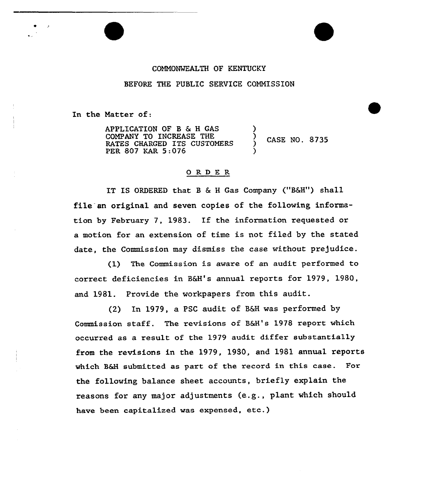## COMMONWEALTH OF KENTUCKY

## BEFORE THE PUBLIC SERVICE COMMISSION

In the Matter of:

APPLICATION OF B & H GAS COMPANY TO INCREASE THE RATES CHARGED ITS CUSTOMERS PER 807 KAR 5:076

CASE NO. 8735

)

)

## 0RDE <sup>R</sup>

IT IS ORDERED that B & H Gas Company ("B&H") shall file an original and seven copies of the following information by February 7, 1983. If the information requested or motion for an extension of time is not filed by the stated date, the Commission may dismiss the case without prejudice.

(1) The Commission is aware of an audit performed to correct deficiencies in B6H's annual reports for 1979, 1980, and 1981. Provide the workpapers from this audit.

(2) In 1979, a PSC audit of 86H was performed by Commission staff. The revisions of B&H's 1978 report which occurred as a xesult of the 1979 audit diffex substantia11y from the revisions in the 1979, 1980, and 1981 annual reports which B&H submitted as part of the record in this case. For the following balance sheet accounts, briefly explain the reasons for any major adjustments (e.g., plant which should have been capitalized was expensed, etc.)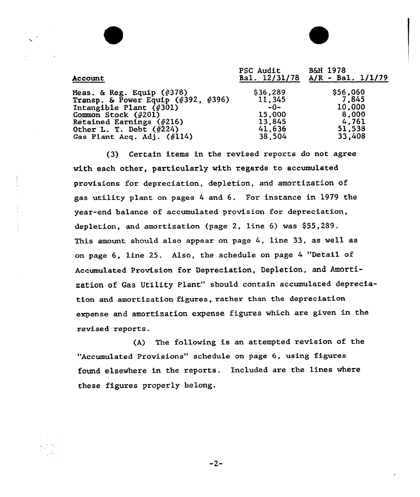| Account                            | PSC Audit<br>Bal. 12/31/78 | <b>B&amp;H 1978</b><br>$A/R - Ba1. 1/1/79$ |
|------------------------------------|----------------------------|--------------------------------------------|
| Meas. & Reg. Equip $(4378)$        | \$36,289                   | \$56,060                                   |
| Transp. & Power Equip (#392, #396) | 11,345                     | 7,845                                      |
| Intangible Plant $(\#301)$         | $-0-$                      | 10,000                                     |
| Common Stock $(*201)$              | 15,000                     | 8,000                                      |
| Retained Earnings (#216)           | 13,845                     | 4,761                                      |
| Other L. T. Debt $(\#224)$         | 41,636                     | 51,538                                     |
| Gas Plant Acq. Adj. $(\#114)$      | 38,504                     | 33,408                                     |

(3) Certain items in the revised reports do not agree with each other, particularly with regards to accumulated provisions for depreciation, depletion, and amortization of gas utility plant on pages <sup>4</sup> and 6. For instance in 1979 the year-end balance of accumulated provision for depreciation, depletion, and amortization (page 2, line 6) was \$55,289. This amount should also appear on page 4, line 33, as well as on page 6, line 25. Also, the schedule on page <sup>4</sup> "Detail of Accumulated Provision for Depreciation, Depletion, and Amortization of Gas Utility Plant" should contain accumulated depreciation and amortization figures, rather than the depxeciation expense and amortization expense figures which are given in the revised reports.

(A) The following is an attempted revision of the "Accumulated Provisions" schedule on page 6, using figures found elsewhere in the reports. Included are the lines where these figures properly belong.

 $-2-$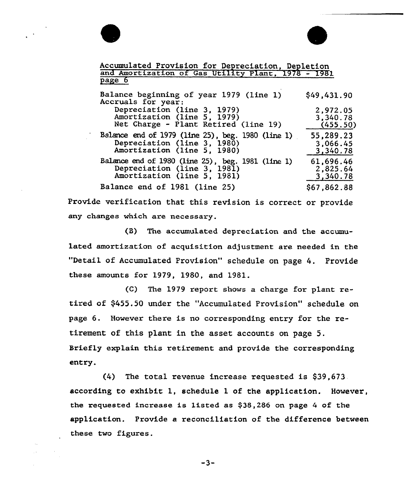

Accumulated Provision for Depreciation, Depletion and Amortization of Gas Utility Plant, 1978 - 1981 page 6 Balance beginning of year <sup>1979</sup> (line 1) Accruals for year: \$49,431.90

| $\frac{1}{2}$                                     |             |
|---------------------------------------------------|-------------|
| Depreciation (line 3, 1979)                       | 2,972.05    |
| Amortization (line 5, 1979)                       | 3,340.78    |
| Net Charge - Plant Retired (line 19)              | (455.50)    |
| Balance end of 1979 (line 25), beg. 1980 (line 1) | 55,289.23   |
| Depreciation (line 3, 1980)                       | 3,066.45    |
| Amortization (line 5, 1980)                       | 3,340.78    |
| Balance end of 1980 (line 25), beg. 1981 (line 1) | 61,696.46   |
| Depreciation (line 3, 1981)                       | 2,825.64    |
| Amortization (line 5, 1981)                       | 3,340.78    |
| Balance end of 1981 (line 25)                     | \$67,862.88 |

Provide verification that this revision is correct or provide any changes which are necessary.

(B) The accumulated depreciation and the accumulated amortization of acquisition adjustment are needed in the "Detail of Accumulated Provision" schedule on page 4. Provide these amounts for 1979, 1980, and 1981.

(C) The 1979 report shows a charge for plant retired of \$455.50 under the "Accumulated Provision" schedule on page 6. However there is no corresponding entry for the retirement of this plant in the asset accounts on page 5. Briefly explain this retirement and provide the corresponding entry.

(4) The total revenue increase requested is \$39,673 according to exhibit 1, schedule 1 of the application. However, the requested increase is listed as \$38,286 on page <sup>4</sup> of the application. Provide a reconciliation of the difference between these two figures.

 $-3-$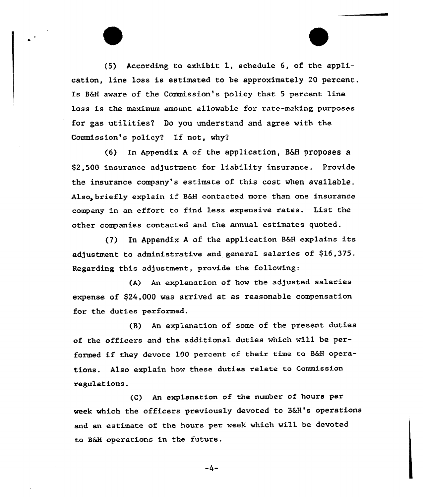(5) According to exhibit l, schedule 6, of the application, line loss is estimated to be approximately 20 percent. Is B&H aware of the Commission's policy that 5 percent line loss is the maximum amount allowable for rate-making purposes for gas utilities? Do you understand and agree with the Commission's policy? If not, why?

 $(6)$  In Appendix A of the application, B&H proposes a \$2,500 insurance adjustment for liability insurance. Provide the insurance company's estimate of this cost when available. Also, briefly explain if B&H contacted more than one insurance company in an effort to find less expensive rates. List the other companies contacted and the annual estimates quoted.

(7) In Appendix A of the application B&H explains its adjustment to administrative and general salaries of \$16,375. Regarding this adjustment, provide the following:

(A) An exp1anation of how the adjusted salaries expense of \$24,000 was arrived at as reasonable compensation for the duties performed.

(8) An explanation of some of the present duties of the officers and the additional duties which will be performed if they devote <sup>100</sup> percent of their time to 86H operations. Also explain how these duties relate to Commission regulations.

(C) An explanation of the number of hours per week which the officers previously devoted to B6H's operations and an estimate of the hours per week which will be devoted to B&H operations in the future.

-4-